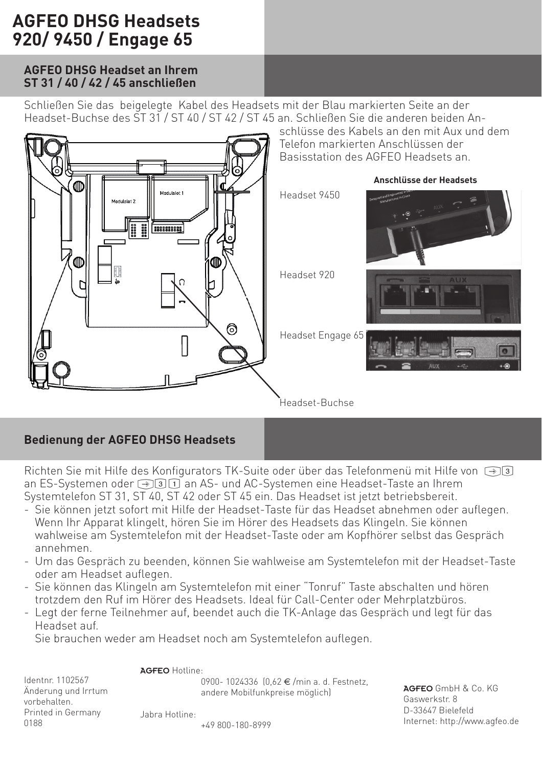# **AGFEO DHSG Headsets 920/ 9450 / Engage 65**

### **AGFEO DHSG Headset an Ihrem ST 31 / 40 / 42 / 45 anschließen**

Schließen Sie das beigelegte Kabel des Headsets mit der Blau markierten Seite an der Headset-Buchse des ST 31 / ST 40 / ST 42 / ST 45 an. Schließen Sie die anderen beiden An-



## **Bedienung der AGFEO DHSG Headsets**

Richten Sie mit Hilfe des Konfigurators TK-Suite oder über das Telefonmenü mit Hilfe von  $\bigcirc$  3 an ES-Systemen oder  $\bigcirc$ 31 an AS- und AC-Systemen eine Headset-Taste an Ihrem Systemtelefon ST 31, ST 40, ST 42 oder ST 45 ein. Das Headset ist jetzt betriebsbereit.

- .<br>Sie können jetzt sofort mit Hilfe der Headset-Taste für das Headset abnehmen oder auflegen. Wenn Ihr Apparat klingelt, hören Sie im Hörer des Headsets das Klingeln. Sie können wahlweise am Systemtelefon mit der Headset-Taste oder am Kopfhörer selbst das Gespräch annehmen.
- Um das Gespräch zu beenden, können Sie wahlweise am Systemtelefon mit der Headset-Taste oder am Headset auflegen.
- Sie können das Klingeln am Systemtelefon mit einer "Tonruf" Taste abschalten und hören trotzdem den Ruf im Hörer des Headsets. Ideal für Call-Center oder Mehrplatzbüros.
- Legt der ferne Teilnehmer auf, beendet auch die TK-Anlage das Gespräch und legt für das Headset auf.

Sie brauchen weder am Headset noch am Systemtelefon auflegen.

#### AGFEO Hotline:

Jabra Hotline:

Identnr. 1102567 Änderung und Irrtum vorbehalten. Printed in Germany 0188

0900- 1024336 (0.62 €/min a. d. Festnetz, andere Mobilfunkpreise möglich)

AGFEO GmbH & Co. KG Gaswerkstr. 8 D-33647 Bielefeld Internet: http://www.agfeo.de

+49 800-180-8999